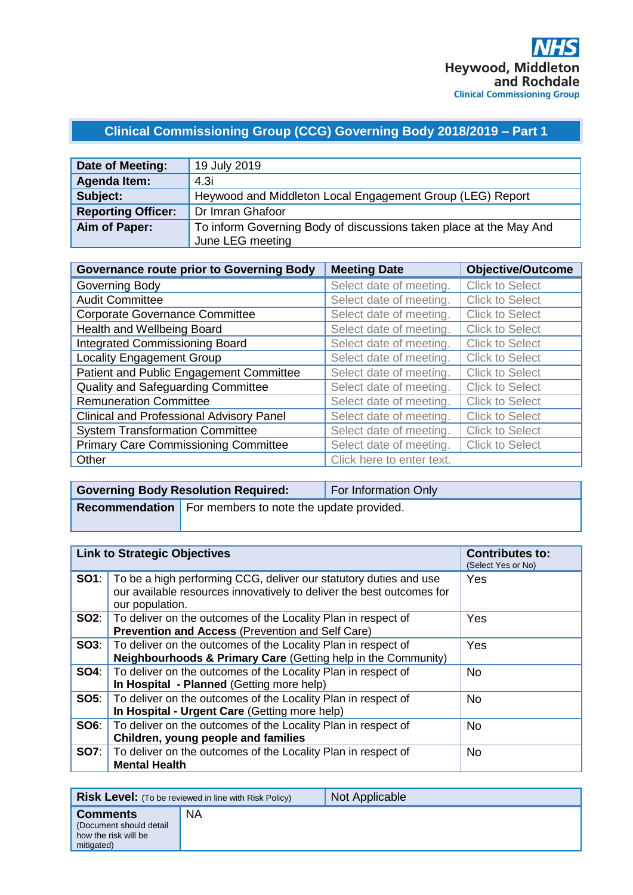# **Clinical Commissioning Group (CCG) Governing Body 2018/2019 – Part 1**

| Date of Meeting:          | 19 July 2019                                                       |
|---------------------------|--------------------------------------------------------------------|
| <b>Agenda Item:</b>       | 4.3i                                                               |
| Subject:                  | Heywood and Middleton Local Engagement Group (LEG) Report          |
| <b>Reporting Officer:</b> | Dr Imran Ghafoor                                                   |
| Aim of Paper:             | To inform Governing Body of discussions taken place at the May And |
|                           | June LEG meeting                                                   |

| <b>Governance route prior to Governing Body</b> | <b>Meeting Date</b>       | <b>Objective/Outcome</b> |
|-------------------------------------------------|---------------------------|--------------------------|
| Governing Body                                  | Select date of meeting.   | <b>Click to Select</b>   |
| <b>Audit Committee</b>                          | Select date of meeting.   | <b>Click to Select</b>   |
| <b>Corporate Governance Committee</b>           | Select date of meeting.   | <b>Click to Select</b>   |
| Health and Wellbeing Board                      | Select date of meeting.   | <b>Click to Select</b>   |
| <b>Integrated Commissioning Board</b>           | Select date of meeting.   | <b>Click to Select</b>   |
| <b>Locality Engagement Group</b>                | Select date of meeting.   | <b>Click to Select</b>   |
| Patient and Public Engagement Committee         | Select date of meeting.   | <b>Click to Select</b>   |
| Quality and Safeguarding Committee              | Select date of meeting.   | <b>Click to Select</b>   |
| <b>Remuneration Committee</b>                   | Select date of meeting.   | <b>Click to Select</b>   |
| <b>Clinical and Professional Advisory Panel</b> | Select date of meeting.   | <b>Click to Select</b>   |
| <b>System Transformation Committee</b>          | Select date of meeting.   | <b>Click to Select</b>   |
| <b>Primary Care Commissioning Committee</b>     | Select date of meeting.   | <b>Click to Select</b>   |
| Other                                           | Click here to enter text. |                          |

| <b>Governing Body Resolution Required:</b>                       | For Information Only |
|------------------------------------------------------------------|----------------------|
| <b>Recommendation</b>   For members to note the update provided. |                      |

| <b>Link to Strategic Objectives</b>                                                                                                                                        | <b>Contributes to:</b><br>(Select Yes or No) |
|----------------------------------------------------------------------------------------------------------------------------------------------------------------------------|----------------------------------------------|
| <b>SO1</b> : To be a high performing CCG, deliver our statutory duties and use<br>our available resources innovatively to deliver the best outcomes for<br>our population. | Yes                                          |
| <b>SO2:</b>   To deliver on the outcomes of the Locality Plan in respect of<br>Prevention and Access (Prevention and Self Care)                                            | Yes                                          |
| SO3:   To deliver on the outcomes of the Locality Plan in respect of<br>Neighbourhoods & Primary Care (Getting help in the Community)                                      | Yes                                          |
| <b>SO4:</b> To deliver on the outcomes of the Locality Plan in respect of<br>In Hospital - Planned (Getting more help)                                                     | No.                                          |
| <b>SO5:</b> To deliver on the outcomes of the Locality Plan in respect of<br>In Hospital - Urgent Care (Getting more help)                                                 | <b>No</b>                                    |
| <b>SO6:</b>   To deliver on the outcomes of the Locality Plan in respect of<br>Children, young people and families                                                         | <b>No</b>                                    |
| <b>SO7:</b> To deliver on the outcomes of the Locality Plan in respect of<br><b>Mental Health</b>                                                                          | <b>No</b>                                    |

| <b>Risk Level:</b> (To be reviewed in line with Risk Policy)                     |    | Not Applicable |
|----------------------------------------------------------------------------------|----|----------------|
| <b>Comments</b><br>(Document should detail<br>how the risk will be<br>mitigated) | ΝA |                |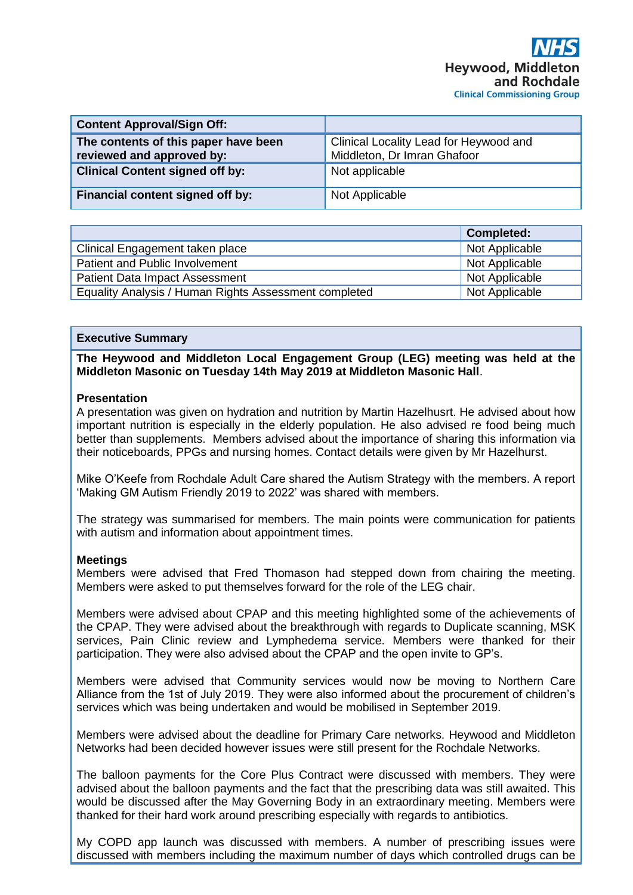| <b>Content Approval/Sign Off:</b>                                 |                                                                       |
|-------------------------------------------------------------------|-----------------------------------------------------------------------|
| The contents of this paper have been<br>reviewed and approved by: | Clinical Locality Lead for Heywood and<br>Middleton, Dr Imran Ghafoor |
| <b>Clinical Content signed off by:</b>                            | Not applicable                                                        |
| Financial content signed off by:                                  | Not Applicable                                                        |

|                                                       | <b>Completed:</b> |
|-------------------------------------------------------|-------------------|
| Clinical Engagement taken place                       | Not Applicable    |
| Patient and Public Involvement                        | Not Applicable    |
| <b>Patient Data Impact Assessment</b>                 | Not Applicable    |
| Equality Analysis / Human Rights Assessment completed | Not Applicable    |

#### **Executive Summary**

**The Heywood and Middleton Local Engagement Group (LEG) meeting was held at the Middleton Masonic on Tuesday 14th May 2019 at Middleton Masonic Hall**.

#### **Presentation**

A presentation was given on hydration and nutrition by Martin Hazelhusrt. He advised about how important nutrition is especially in the elderly population. He also advised re food being much better than supplements. Members advised about the importance of sharing this information via their noticeboards, PPGs and nursing homes. Contact details were given by Mr Hazelhurst.

Mike O'Keefe from Rochdale Adult Care shared the Autism Strategy with the members. A report 'Making GM Autism Friendly 2019 to 2022' was shared with members.

The strategy was summarised for members. The main points were communication for patients with autism and information about appointment times.

#### **Meetings**

Members were advised that Fred Thomason had stepped down from chairing the meeting. Members were asked to put themselves forward for the role of the LEG chair.

Members were advised about CPAP and this meeting highlighted some of the achievements of the CPAP. They were advised about the breakthrough with regards to Duplicate scanning, MSK services, Pain Clinic review and Lymphedema service. Members were thanked for their participation. They were also advised about the CPAP and the open invite to GP's.

Members were advised that Community services would now be moving to Northern Care Alliance from the 1st of July 2019. They were also informed about the procurement of children's services which was being undertaken and would be mobilised in September 2019.

Members were advised about the deadline for Primary Care networks. Heywood and Middleton Networks had been decided however issues were still present for the Rochdale Networks.

The balloon payments for the Core Plus Contract were discussed with members. They were advised about the balloon payments and the fact that the prescribing data was still awaited. This would be discussed after the May Governing Body in an extraordinary meeting. Members were thanked for their hard work around prescribing especially with regards to antibiotics.

My COPD app launch was discussed with members. A number of prescribing issues were discussed with members including the maximum number of days which controlled drugs can be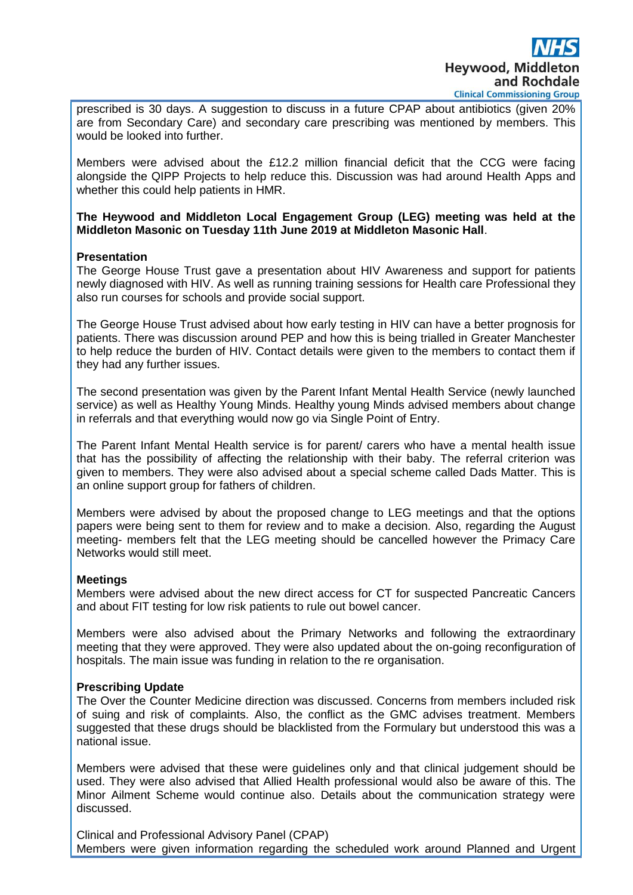prescribed is 30 days. A suggestion to discuss in a future CPAP about antibiotics (given 20% are from Secondary Care) and secondary care prescribing was mentioned by members. This would be looked into further.

Members were advised about the £12.2 million financial deficit that the CCG were facing alongside the QIPP Projects to help reduce this. Discussion was had around Health Apps and whether this could help patients in HMR.

**The Heywood and Middleton Local Engagement Group (LEG) meeting was held at the Middleton Masonic on Tuesday 11th June 2019 at Middleton Masonic Hall**.

### **Presentation**

The George House Trust gave a presentation about HIV Awareness and support for patients newly diagnosed with HIV. As well as running training sessions for Health care Professional they also run courses for schools and provide social support.

The George House Trust advised about how early testing in HIV can have a better prognosis for patients. There was discussion around PEP and how this is being trialled in Greater Manchester to help reduce the burden of HIV. Contact details were given to the members to contact them if they had any further issues.

The second presentation was given by the Parent Infant Mental Health Service (newly launched service) as well as Healthy Young Minds. Healthy young Minds advised members about change in referrals and that everything would now go via Single Point of Entry.

The Parent Infant Mental Health service is for parent/ carers who have a mental health issue that has the possibility of affecting the relationship with their baby. The referral criterion was given to members. They were also advised about a special scheme called Dads Matter. This is an online support group for fathers of children.

Members were advised by about the proposed change to LEG meetings and that the options papers were being sent to them for review and to make a decision. Also, regarding the August meeting- members felt that the LEG meeting should be cancelled however the Primacy Care Networks would still meet.

#### **Meetings**

Members were advised about the new direct access for CT for suspected Pancreatic Cancers and about FIT testing for low risk patients to rule out bowel cancer.

Members were also advised about the Primary Networks and following the extraordinary meeting that they were approved. They were also updated about the on-going reconfiguration of hospitals. The main issue was funding in relation to the re organisation.

## **Prescribing Update**

The Over the Counter Medicine direction was discussed. Concerns from members included risk of suing and risk of complaints. Also, the conflict as the GMC advises treatment. Members suggested that these drugs should be blacklisted from the Formulary but understood this was a national issue.

Members were advised that these were guidelines only and that clinical judgement should be used. They were also advised that Allied Health professional would also be aware of this. The Minor Ailment Scheme would continue also. Details about the communication strategy were discussed.

Clinical and Professional Advisory Panel (CPAP) Members were given information regarding the scheduled work around Planned and Urgent